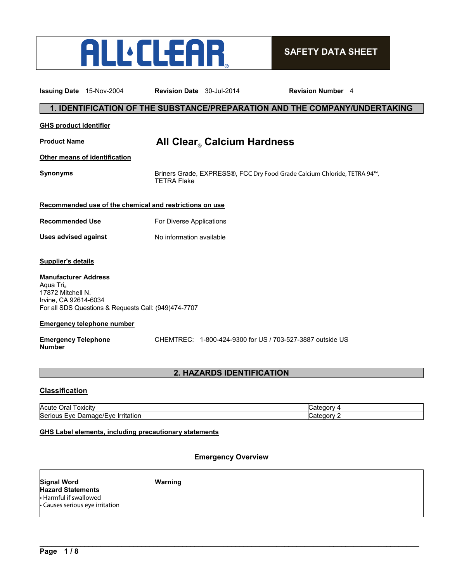

# **SAFETY DATA SHEET**

| <b>Issuing Date</b> 15-Nov-2004                                                                    |                                                         | Revision Date 30-Jul-2014 |                                                           | <b>Revision Number</b> 4                                                   |
|----------------------------------------------------------------------------------------------------|---------------------------------------------------------|---------------------------|-----------------------------------------------------------|----------------------------------------------------------------------------|
|                                                                                                    |                                                         |                           |                                                           | 1. IDENTIFICATION OF THE SUBSTANCE/PREPARATION AND THE COMPANY/UNDERTAKING |
| <b>GHS product identifier</b>                                                                      |                                                         |                           |                                                           |                                                                            |
| <b>Product Name</b>                                                                                |                                                         |                           | All Clear Calcium Hardness                                |                                                                            |
|                                                                                                    | <b>Other means of identification</b>                    |                           |                                                           |                                                                            |
| <b>Synonyms</b>                                                                                    |                                                         | <b>TETRA Flake</b>        |                                                           | Briners Grade, EXPRESS®, FCC Dry Food Grade Calcium Chloride, TETRA 94™,   |
|                                                                                                    | Recommended use of the chemical and restrictions on use |                           |                                                           |                                                                            |
| <b>Recommended Use</b>                                                                             |                                                         | For Diverse Applications  |                                                           |                                                                            |
| <b>Uses advised against</b>                                                                        |                                                         | No information available  |                                                           |                                                                            |
| <b>Supplier's details</b>                                                                          |                                                         |                           |                                                           |                                                                            |
| <b>Manufacturer Address</b><br>Aqua Tri <sub>®</sub><br>17872 Mitchell N.<br>Irvine, CA 92614-6034 | For all SDS Questions & Requests Call: (949)474-7707    |                           |                                                           |                                                                            |
|                                                                                                    | <b>Emergency telephone number</b>                       |                           |                                                           |                                                                            |
| <b>Emergency Telephone</b><br><b>Number</b>                                                        |                                                         |                           | CHEMTREC: 1-800-424-9300 for US / 703-527-3887 outside US |                                                                            |

# **2. HAZARDS IDENTIFICATION**

# **Classification**

| . .<br>Acute<br>)ral<br>. oxicitv                                              | ،211        |
|--------------------------------------------------------------------------------|-------------|
| Serious<br>. .<br><u>Irritation</u><br>$eV$ e<br>$\cdot$ ve<br>Jar<br>⊶uaqe/⊢∵ | …atecom a u |

# **GHS Label elements, including precautionary statements**

# **Emergency Overview**

\_\_\_\_\_\_\_\_\_\_\_\_\_\_\_\_\_\_\_\_\_\_\_\_\_\_\_\_\_\_\_\_\_\_\_\_\_\_\_\_\_\_\_\_\_\_\_\_\_\_\_\_\_\_\_\_\_\_\_\_\_\_\_\_\_\_\_\_\_\_\_\_\_\_\_\_\_\_\_\_\_\_\_\_\_\_\_\_\_\_\_\_\_

**Signal Word Warning Hazard Statements** • Harmful if swallowed • Causes serious eye irritation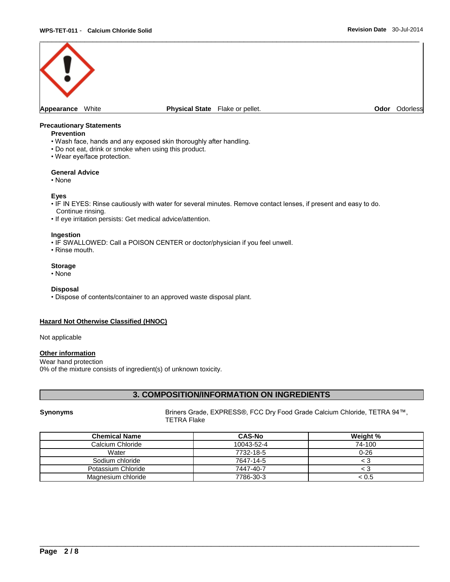

#### **Precautionary Statements**

#### **Prevention**

- Wash face, hands and any exposed skin thoroughly after handling.
- Do not eat, drink or smoke when using this product.
- Wear eye/face protection.

#### **General Advice**

• None

#### **Eyes**

- IF IN EYES: Rinse cautiously with water for several minutes. Remove contact lenses, if present and easy to do. Continue rinsing.
- If eye irritation persists: Get medical advice/attention.

#### **Ingestion**

- IF SWALLOWED: Call a POISON CENTER or doctor/physician if you feel unwell.
- Rinse mouth.

# **Storage**

• None

#### **Disposal**

• Dispose of contents/container to an approved waste disposal plant.

# **Hazard Not Otherwise Classified (HNOC)**

Not applicable

## **Other information**

Wear hand protection 0% of the mixture consists of ingredient(s) of unknown toxicity.

# **3. COMPOSITION/INFORMATION ON INGREDIENTS**

**Synonyms** Briners Grade, EXPRESS®, FCC Dry Food Grade Calcium Chloride, TETRA 94™, TETRA Flake

| <b>Chemical Name</b> | <b>CAS-No</b> | Weight % |
|----------------------|---------------|----------|
| Calcium Chloride     | 10043-52-4    | 74-100   |
| Water                | 7732-18-5     | $0 - 26$ |
| Sodium chloride      | 7647-14-5     | 3 >      |
| Potassium Chloride   | 7447-40-7     | 3 >      |
| Magnesium chloride   | 7786-30-3     | < 0.5    |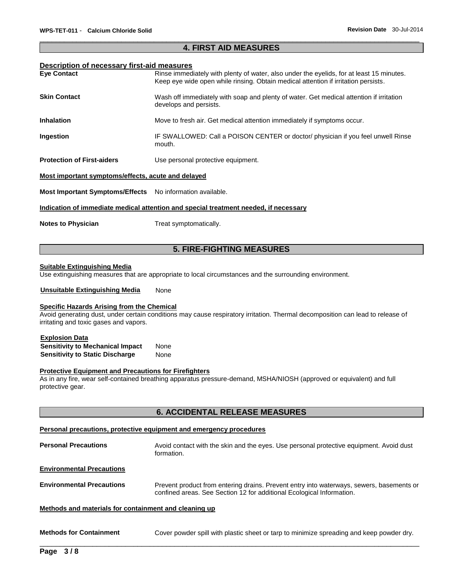# \_\_\_\_\_\_\_\_\_\_\_\_\_\_\_\_\_\_\_\_\_\_\_\_\_\_\_\_\_\_\_\_\_\_\_\_\_\_\_\_\_\_\_\_\_\_\_\_\_\_\_\_\_\_\_\_\_\_\_\_\_\_\_\_\_\_\_\_\_\_\_\_\_\_\_\_\_\_\_\_\_\_\_\_\_\_\_\_\_\_\_\_\_ **4. FIRST AID MEASURES**

# **Description of necessary first-aid measures**

| P00011P0011 01 110000001 1 111 00 010 111000011 00        |                                                                                                                                                                                |
|-----------------------------------------------------------|--------------------------------------------------------------------------------------------------------------------------------------------------------------------------------|
| <b>Eye Contact</b>                                        | Rinse immediately with plenty of water, also under the eyelids, for at least 15 minutes.<br>Keep eye wide open while rinsing. Obtain medical attention if irritation persists. |
| Skin Contact                                              | Wash off immediately with soap and plenty of water. Get medical attention if irritation<br>develops and persists.                                                              |
| <b>Inhalation</b>                                         | Move to fresh air. Get medical attention immediately if symptoms occur.                                                                                                        |
| Ingestion                                                 | IF SWALLOWED: Call a POISON CENTER or doctor/ physician if you feel unwell Rinse<br>mouth.                                                                                     |
| <b>Protection of First-aiders</b>                         | Use personal protective equipment.                                                                                                                                             |
| Most important symptoms/effects, acute and delayed        |                                                                                                                                                                                |
| Most Important Symptoms/Effects No information available. |                                                                                                                                                                                |
|                                                           | Indication of immediate medical attention and special treatment needed, if necessary                                                                                           |

**Notes to Physician**  Treat symptomatically.

# **5. FIRE-FIGHTING MEASURES**

#### **Suitable Extinguishing Media**

Use extinguishing measures that are appropriate to local circumstances and the surrounding environment.

**Unsuitable Extinguishing Media** None

#### **Specific Hazards Arising from the Chemical**

Avoid generating dust, under certain conditions may cause respiratory irritation. Thermal decomposition can lead to release of irritating and toxic gases and vapors.

#### **Explosion Data**

**Sensitivity to Mechanical Impact** None **Sensitivity to Static Discharge Mone** 

#### **Protective Equipment and Precautions for Firefighters**

As in any fire, wear self-contained breathing apparatus pressure-demand, MSHA/NIOSH (approved or equivalent) and full protective gear.

# **6. ACCIDENTAL RELEASE MEASURES**

#### **Personal precautions, protective equipment and emergency procedures**

**Personal Precautions Avoid contact with the skin and the eyes. Use personal protective equipment. Avoid dust** formation. **Environmental Precautions Environmental Precautions** Prevent product from entering drains. Prevent entry into waterways, sewers, basements or confined areas. See Section 12 for additional Ecological Information. **Methods and materials for containment and cleaning up Methods for Containment** Cover powder spill with plastic sheet or tarp to minimize spreading and keep powder dry.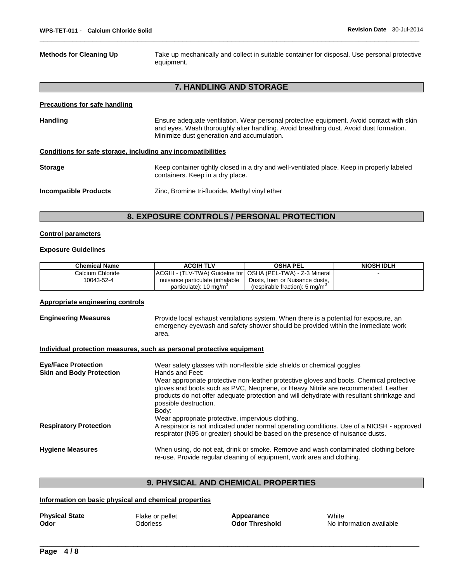**Methods for Cleaning Up** Take up mechanically and collect in suitable container for disposal. Use personal protective equipment.

# **7. HANDLING AND STORAGE**

\_\_\_\_\_\_\_\_\_\_\_\_\_\_\_\_\_\_\_\_\_\_\_\_\_\_\_\_\_\_\_\_\_\_\_\_\_\_\_\_\_\_\_\_\_\_\_\_\_\_\_\_\_\_\_\_\_\_\_\_\_\_\_\_\_\_\_\_\_\_\_\_\_\_\_\_\_\_\_\_\_\_\_\_\_\_\_\_\_\_\_\_\_

#### **Precautions for safe handling**

| <b>Handling</b>              | Ensure adequate ventilation. Wear personal protective equipment. Avoid contact with skin<br>and eyes. Wash thoroughly after handling. Avoid breathing dust. Avoid dust formation.<br>Minimize dust generation and accumulation. |
|------------------------------|---------------------------------------------------------------------------------------------------------------------------------------------------------------------------------------------------------------------------------|
|                              | Conditions for safe storage, including any incompatibilities                                                                                                                                                                    |
| <b>Storage</b>               | Keep container tightly closed in a dry and well-ventilated place. Keep in properly labeled<br>containers. Keep in a dry place.                                                                                                  |
| <b>Incompatible Products</b> | Zinc, Bromine tri-fluoride, Methyl vinyl ether                                                                                                                                                                                  |

# **8. EXPOSURE CONTROLS / PERSONAL PROTECTION**

#### **Control parameters**

## **Exposure Guidelines**

| <b>Chemical Name</b> | <b>ACGIH TLV</b>                                              | OSHA PEL                                   | <b>NIOSH IDLH</b> |
|----------------------|---------------------------------------------------------------|--------------------------------------------|-------------------|
| Calcium Chloride     | IACGIH - (TLV-TWA) Guidelne for IOSHA (PEL-TWA) - Z-3 Mineral |                                            |                   |
| 10043-52-4           | nuisance particulate (inhalable                               | Dusts, Inert or Nuisance dusts,            |                   |
|                      | particulate): 10 mg/m <sup>3</sup>                            | (respirable fraction): 5 mg/m <sup>3</sup> |                   |

#### **Appropriate engineering controls**

| <b>Engineering Measures</b> | Provide local exhaust ventilations system. When there is a potential for exposure, an |
|-----------------------------|---------------------------------------------------------------------------------------|
|                             | emergency eyewash and safety shower should be provided within the immediate work      |
|                             | area.                                                                                 |

# **Individual protection measures, such as personal protective equipment**

| <b>Eve/Face Protection</b><br><b>Skin and Body Protection</b> | Wear safety glasses with non-flexible side shields or chemical goggles<br>Hands and Feet:                                                                                                                                                                                                           |
|---------------------------------------------------------------|-----------------------------------------------------------------------------------------------------------------------------------------------------------------------------------------------------------------------------------------------------------------------------------------------------|
|                                                               | Wear appropriate protective non-leather protective gloves and boots. Chemical protective<br>gloves and boots such as PVC, Neoprene, or Heavy Nitrile are recommended. Leather<br>products do not offer adequate protection and will dehydrate with resultant shrinkage and<br>possible destruction. |
|                                                               | Body:                                                                                                                                                                                                                                                                                               |
|                                                               | Wear appropriate protective, impervious clothing.                                                                                                                                                                                                                                                   |
| <b>Respiratory Protection</b>                                 | A respirator is not indicated under normal operating conditions. Use of a NIOSH - approved<br>respirator (N95 or greater) should be based on the presence of nuisance dusts.                                                                                                                        |
| <b>Hygiene Measures</b>                                       | When using, do not eat, drink or smoke. Remove and wash contaminated clothing before<br>re-use. Provide regular cleaning of equipment, work area and clothing.                                                                                                                                      |

# **9. PHYSICAL AND CHEMICAL PROPERTIES**

\_\_\_\_\_\_\_\_\_\_\_\_\_\_\_\_\_\_\_\_\_\_\_\_\_\_\_\_\_\_\_\_\_\_\_\_\_\_\_\_\_\_\_\_\_\_\_\_\_\_\_\_\_\_\_\_\_\_\_\_\_\_\_\_\_\_\_\_\_\_\_\_\_\_\_\_\_\_\_\_\_\_\_\_\_\_\_\_\_\_\_\_\_

#### **Information on basic physical and chemical properties**

| <b>Physical State</b> | Flake or pellet | Appearance            | White                    |
|-----------------------|-----------------|-----------------------|--------------------------|
| Odor                  | <b>Ddorless</b> | <b>Odor Threshold</b> | No information available |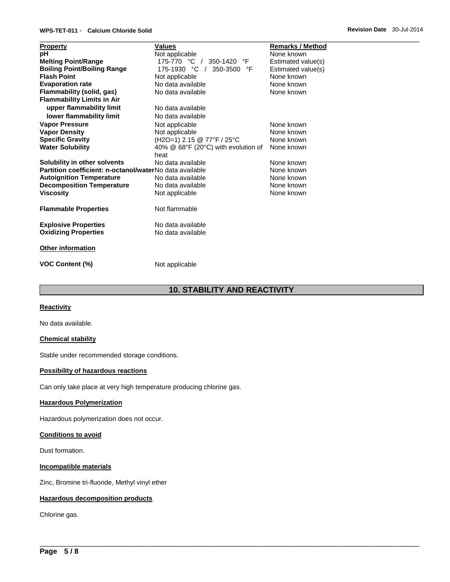# **WPS-TET-011** - **Calcium Chloride Solid Revision Date** 30-Jul-2014

|                                                         | <b>Values</b>                       | <b>Remarks / Method</b> |
|---------------------------------------------------------|-------------------------------------|-------------------------|
| <b>Property</b>                                         |                                     | None known              |
| pH                                                      | Not applicable                      |                         |
| <b>Melting Point/Range</b>                              | 175-770 °C /<br>°F<br>350-1420      | Estimated value(s)      |
| <b>Boiling Point/Boiling Range</b>                      | 175-1930 °C /<br>350-3500<br>°F     | Estimated value(s)      |
| <b>Flash Point</b>                                      | Not applicable                      | None known              |
| <b>Evaporation rate</b>                                 | No data available                   | None known              |
| Flammability (solid, gas)                               | No data available                   | None known              |
| <b>Flammability Limits in Air</b>                       |                                     |                         |
| upper flammability limit                                | No data available                   |                         |
| lower flammability limit                                | No data available                   |                         |
| <b>Vapor Pressure</b>                                   | Not applicable                      | None known              |
| <b>Vapor Density</b>                                    | Not applicable                      | None known              |
| <b>Specific Gravity</b>                                 | (H2O=1) 2.15 @ 77°F / 25°C          | None known              |
| <b>Water Solubility</b>                                 | 40% @ 68°F (20°C) with evolution of | None known              |
|                                                         | heat                                |                         |
| Solubility in other solvents                            | No data available                   | None known              |
| Partition coefficient: n-octanol/waterNo data available |                                     | None known              |
| <b>Autoignition Temperature</b>                         | No data available                   | None known              |
| <b>Decomposition Temperature</b>                        | No data available                   | None known              |
| <b>Viscosity</b>                                        | Not applicable                      | None known              |
|                                                         |                                     |                         |
| <b>Flammable Properties</b>                             | Not flammable                       |                         |
|                                                         |                                     |                         |
| <b>Explosive Properties</b>                             | No data available                   |                         |
| <b>Oxidizing Properties</b>                             | No data available                   |                         |
|                                                         |                                     |                         |
| <b>Other information</b>                                |                                     |                         |
| <b>VOC Content (%)</b>                                  | Not applicable                      |                         |

# **10. STABILITY AND REACTIVITY**

\_\_\_\_\_\_\_\_\_\_\_\_\_\_\_\_\_\_\_\_\_\_\_\_\_\_\_\_\_\_\_\_\_\_\_\_\_\_\_\_\_\_\_\_\_\_\_\_\_\_\_\_\_\_\_\_\_\_\_\_\_\_\_\_\_\_\_\_\_\_\_\_\_\_\_\_\_\_\_\_\_\_\_\_\_\_\_\_\_\_\_\_\_

# **Reactivity**

No data available.

# **Chemical stability**

Stable under recommended storage conditions.

#### **Possibility of hazardous reactions**

Can only take place at very high temperature producing chlorine gas.

# **Hazardous Polymerization**

Hazardous polymerization does not occur.

# **Conditions to avoid**

Dust formation.

**Incompatible materials**

Zinc, Bromine tri-fluoride, Methyl vinyl ether

# **Hazardous decomposition products**

Chlorine gas.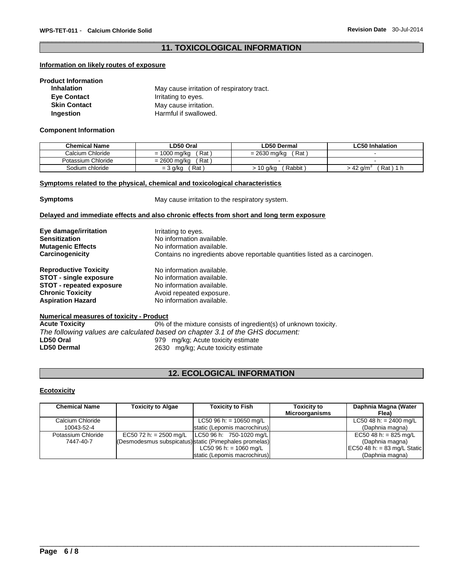# \_\_\_\_\_\_\_\_\_\_\_\_\_\_\_\_\_\_\_\_\_\_\_\_\_\_\_\_\_\_\_\_\_\_\_\_\_\_\_\_\_\_\_\_\_\_\_\_\_\_\_\_\_\_\_\_\_\_\_\_\_\_\_\_\_\_\_\_\_\_\_\_\_\_\_\_\_\_\_\_\_\_\_\_\_\_\_\_\_\_\_\_\_ **11. TOXICOLOGICAL INFORMATION**

## **Information on likely routes of exposure**

# **Product Information**

| <b>Inhalation</b>   | May cause irritation of respiratory tract. |
|---------------------|--------------------------------------------|
| <b>Eve Contact</b>  | Irritating to eyes.                        |
| <b>Skin Contact</b> | May cause irritation.                      |
| Ingestion           | Harmful if swallowed.                      |

#### **Component Information**

| <b>Chemical Name</b> | ∟D50 Oral           | LD50 Dermal         | <b>LC50 Inhalation</b> |
|----------------------|---------------------|---------------------|------------------------|
| Calcium Chloride     | Rat<br>= 1000 mg/kg | Rat<br>= 2630 ma/ka |                        |
| Potassium Chloride   | Rat<br>= 2600 mg/kg |                     |                        |
| Sodium chloride      | Rat<br>$=$ 3 g/kg   | Rabbit<br>10 g/kg   | > 42 a/mi<br>Rat)      |

# **Symptoms related to the physical, chemical and toxicological characteristics**

**Symptoms May cause irritation to the respiratory system.** 

# **Delayed and immediate effects and also chronic effects from short and long term exposure**

| Eye damage/irritation                           | Irritating to eyes.                                                                                      |  |  |
|-------------------------------------------------|----------------------------------------------------------------------------------------------------------|--|--|
| <b>Sensitization</b>                            | No information available.                                                                                |  |  |
| <b>Mutagenic Effects</b>                        | No information available.<br>Contains no ingredients above reportable quantities listed as a carcinogen. |  |  |
| Carcinogenicity                                 |                                                                                                          |  |  |
| <b>Reproductive Toxicity</b>                    | No information available.                                                                                |  |  |
| <b>STOT - single exposure</b>                   | No information available.                                                                                |  |  |
| <b>STOT - repeated exposure</b>                 | No information available.                                                                                |  |  |
| <b>Chronic Toxicity</b>                         | Avoid repeated exposure.                                                                                 |  |  |
| <b>Aspiration Hazard</b>                        | No information available.                                                                                |  |  |
| <b>Numerical measures of toxicity - Product</b> |                                                                                                          |  |  |
|                                                 |                                                                                                          |  |  |

## **Acute Toxicity** 0% of the mixture consists of ingredient(s) of unknown toxicity. *The following values are calculated based on chapter 3.1 of the GHS document:*  **LD50 Oral** 979 mg/kg; Acute toxicity estimate 2630 mg/kg; Acute toxicity estimate

# **12. ECOLOGICAL INFORMATION**

## **Ecotoxicity**

| <b>Chemical Name</b> | <b>Toxicity to Algae</b>         | <b>Toxicity to Fish</b>                                | <b>Toxicity to</b>    | Daphnia Magna (Water             |
|----------------------|----------------------------------|--------------------------------------------------------|-----------------------|----------------------------------|
|                      |                                  |                                                        | <b>Microorganisms</b> | Flea)                            |
| Calcium Chloride     |                                  | LC50 96 h: = $10650$ mg/L                              |                       | LC50 48 h: = $2400 \text{ mg/L}$ |
| 10043-52-4           |                                  | static (Lepomis macrochirus)                           |                       | (Daphnia magna)                  |
| Potassium Chloride   | EC50 72 h: = $2500 \text{ mg/L}$ | LC50 96 h: 750-1020 mg/L                               |                       | EC50 48 h: = 825 mg/L            |
| 7447-40-7            |                                  | (Desmodesmus subspicatus) static (Pimephales promelas) |                       | (Daphnia magna)                  |
|                      |                                  | $LC50$ 96 h: = 1060 mg/L                               |                       | EC50 48 h: = 83 mg/L Static      |
|                      |                                  | static (Lepomis macrochirus)                           |                       | (Daphnia magna)                  |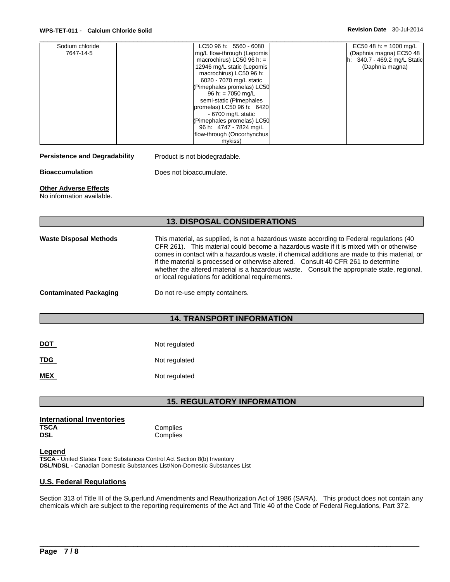## **WPS-TET-011** - **Calcium Chloride Solid Revision Date** 30-Jul-2014

| Sodium chloride | LC50 96 h: 5560 - 6080      | EC50 48 h: = $1000 \text{ mg/L}$ |
|-----------------|-----------------------------|----------------------------------|
| 7647-14-5       | mg/L flow-through (Lepomis  | (Daphnia magna) EC50 48          |
|                 | macrochirus) LC50 96 h: $=$ | h: 340.7 - 469.2 mg/L Static     |
|                 | 12946 mg/L static (Lepomis  | (Daphnia magna)                  |
|                 | macrochirus) LC50 96 h:     |                                  |
|                 | 6020 - 7070 mg/L static     |                                  |
|                 | (Pimephales promelas) LC50  |                                  |
|                 | 96 h: = $7050$ mg/L         |                                  |
|                 | semi-static (Pimephales     |                                  |
|                 | promelas) LC50 96 h: 6420   |                                  |
|                 | - 6700 mg/L static          |                                  |
|                 | (Pimephales promelas) LC50  |                                  |
|                 | 96 h: 4747 - 7824 mg/L      |                                  |
|                 | flow-through (Oncorhynchus  |                                  |
|                 | mykiss)                     |                                  |

Persistence and Degradability Product is not biodegradable.

**Bioaccumulation Does not bioaccumulate.** 

# **Other Adverse Effects**

No information available.

# **13. DISPOSAL CONSIDERATIONS**

| <b>Waste Disposal Methods</b> | This material, as supplied, is not a hazardous waste according to Federal regulations (40<br>CFR 261). This material could become a hazardous waste if it is mixed with or otherwise<br>comes in contact with a hazardous waste, if chemical additions are made to this material, or<br>if the material is processed or otherwise altered. Consult 40 CFR 261 to determine<br>whether the altered material is a hazardous waste. Consult the appropriate state, regional,<br>or local regulations for additional requirements. |
|-------------------------------|--------------------------------------------------------------------------------------------------------------------------------------------------------------------------------------------------------------------------------------------------------------------------------------------------------------------------------------------------------------------------------------------------------------------------------------------------------------------------------------------------------------------------------|
| <b>Contaminated Packaging</b> | Do not re-use empty containers.                                                                                                                                                                                                                                                                                                                                                                                                                                                                                                |

# **14. TRANSPORT INFORMATION**

| <b>DOT</b> | Not regulated |
|------------|---------------|
| <b>TDG</b> | Not regulated |
| <b>MEX</b> | Not regulated |

# **15. REGULATORY INFORMATION**

| <b>International Inventories</b> |          |
|----------------------------------|----------|
| <b>TSCA</b>                      | Complies |
| DSL                              | Complies |

# **Legend**

**TSCA** - United States Toxic Substances Control Act Section 8(b) Inventory **DSL/NDSL** - Canadian Domestic Substances List/Non-Domestic Substances List

# **U.S. Federal Regulations**

Section 313 of Title III of the Superfund Amendments and Reauthorization Act of 1986 (SARA). This product does not contain any chemicals which are subject to the reporting requirements of the Act and Title 40 of the Code of Federal Regulations, Part 372.